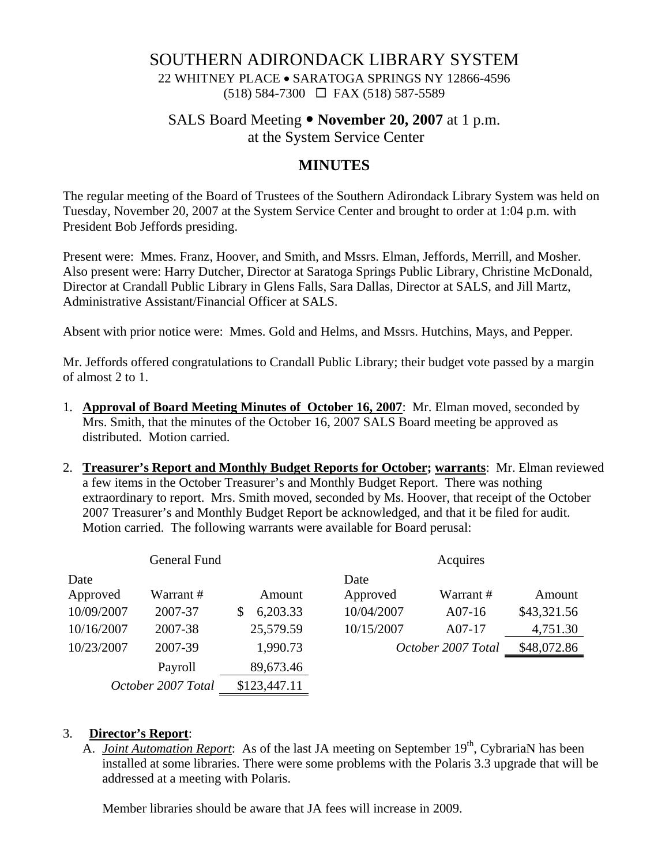# SOUTHERN ADIRONDACK LIBRARY SYSTEM

22 WHITNEY PLACE • SARATOGA SPRINGS NY 12866-4596 (518) 584-7300 FAX (518) 587-5589

#### SALS Board Meeting • **November 20, 2007** at 1 p.m.

at the System Service Center

## **MINUTES**

The regular meeting of the Board of Trustees of the Southern Adirondack Library System was held on Tuesday, November 20, 2007 at the System Service Center and brought to order at 1:04 p.m. with President Bob Jeffords presiding.

Present were: Mmes. Franz, Hoover, and Smith, and Mssrs. Elman, Jeffords, Merrill, and Mosher. Also present were: Harry Dutcher, Director at Saratoga Springs Public Library, Christine McDonald, Director at Crandall Public Library in Glens Falls, Sara Dallas, Director at SALS, and Jill Martz, Administrative Assistant/Financial Officer at SALS.

Absent with prior notice were: Mmes. Gold and Helms, and Mssrs. Hutchins, Mays, and Pepper.

Mr. Jeffords offered congratulations to Crandall Public Library; their budget vote passed by a margin of almost 2 to 1.

- 1. **Approval of Board Meeting Minutes of October 16, 2007**: Mr. Elman moved, seconded by Mrs. Smith, that the minutes of the October 16, 2007 SALS Board meeting be approved as distributed. Motion carried.
- 2. **Treasurer's Report and Monthly Budget Reports for October; warrants**: Mr. Elman reviewed a few items in the October Treasurer's and Monthly Budget Report. There was nothing extraordinary to report. Mrs. Smith moved, seconded by Ms. Hoover, that receipt of the October 2007 Treasurer's and Monthly Budget Report be acknowledged, and that it be filed for audit. Motion carried. The following warrants were available for Board perusal:

| General Fund       |           |              | Acquires           |           |             |
|--------------------|-----------|--------------|--------------------|-----------|-------------|
| Date               |           |              | Date               |           |             |
| Approved           | Warrant # | Amount       | Approved           | Warrant # | Amount      |
| 10/09/2007         | 2007-37   | 6,203.33     | 10/04/2007         | $A07-16$  | \$43,321.56 |
| 10/16/2007         | 2007-38   | 25,579.59    | 10/15/2007         | A07-17    | 4,751.30    |
| 10/23/2007         | 2007-39   | 1,990.73     | October 2007 Total |           | \$48,072.86 |
|                    | Payroll   | 89,673.46    |                    |           |             |
| October 2007 Total |           | \$123,447.11 |                    |           |             |

#### 3. **Director's Report**:

A. *Joint Automation Report*: As of the last JA meeting on September 19<sup>th</sup>, CybrariaN has been installed at some libraries. There were some problems with the Polaris 3.3 upgrade that will be addressed at a meeting with Polaris.

Member libraries should be aware that JA fees will increase in 2009.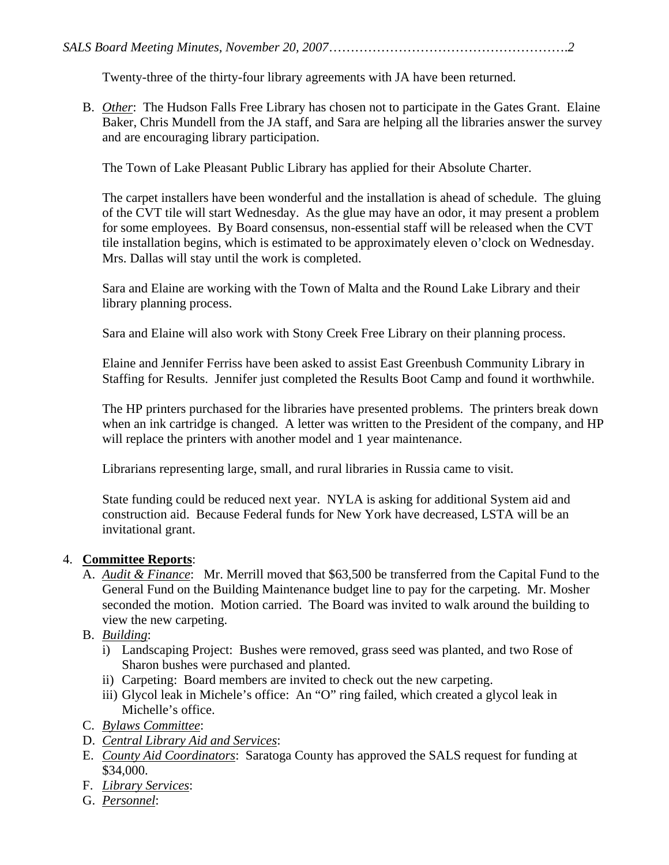Twenty-three of the thirty-four library agreements with JA have been returned.

B. *Other*: The Hudson Falls Free Library has chosen not to participate in the Gates Grant. Elaine Baker, Chris Mundell from the JA staff, and Sara are helping all the libraries answer the survey and are encouraging library participation.

The Town of Lake Pleasant Public Library has applied for their Absolute Charter.

The carpet installers have been wonderful and the installation is ahead of schedule. The gluing of the CVT tile will start Wednesday. As the glue may have an odor, it may present a problem for some employees. By Board consensus, non-essential staff will be released when the CVT tile installation begins, which is estimated to be approximately eleven o'clock on Wednesday. Mrs. Dallas will stay until the work is completed.

Sara and Elaine are working with the Town of Malta and the Round Lake Library and their library planning process.

Sara and Elaine will also work with Stony Creek Free Library on their planning process.

Elaine and Jennifer Ferriss have been asked to assist East Greenbush Community Library in Staffing for Results. Jennifer just completed the Results Boot Camp and found it worthwhile.

The HP printers purchased for the libraries have presented problems. The printers break down when an ink cartridge is changed. A letter was written to the President of the company, and HP will replace the printers with another model and 1 year maintenance.

Librarians representing large, small, and rural libraries in Russia came to visit.

State funding could be reduced next year. NYLA is asking for additional System aid and construction aid. Because Federal funds for New York have decreased, LSTA will be an invitational grant.

## 4. **Committee Reports**:

- A. *Audit & Finance*: Mr. Merrill moved that \$63,500 be transferred from the Capital Fund to the General Fund on the Building Maintenance budget line to pay for the carpeting. Mr. Mosher seconded the motion. Motion carried. The Board was invited to walk around the building to view the new carpeting.
- B. *Building*:
	- i) Landscaping Project: Bushes were removed, grass seed was planted, and two Rose of Sharon bushes were purchased and planted.
	- ii) Carpeting: Board members are invited to check out the new carpeting.
	- iii) Glycol leak in Michele's office: An "O" ring failed, which created a glycol leak in Michelle's office.
- C. *Bylaws Committee*:
- D. *Central Library Aid and Services*:
- E. *County Aid Coordinators*: Saratoga County has approved the SALS request for funding at \$34,000.
- F. *Library Services*:
- G. *Personnel*: